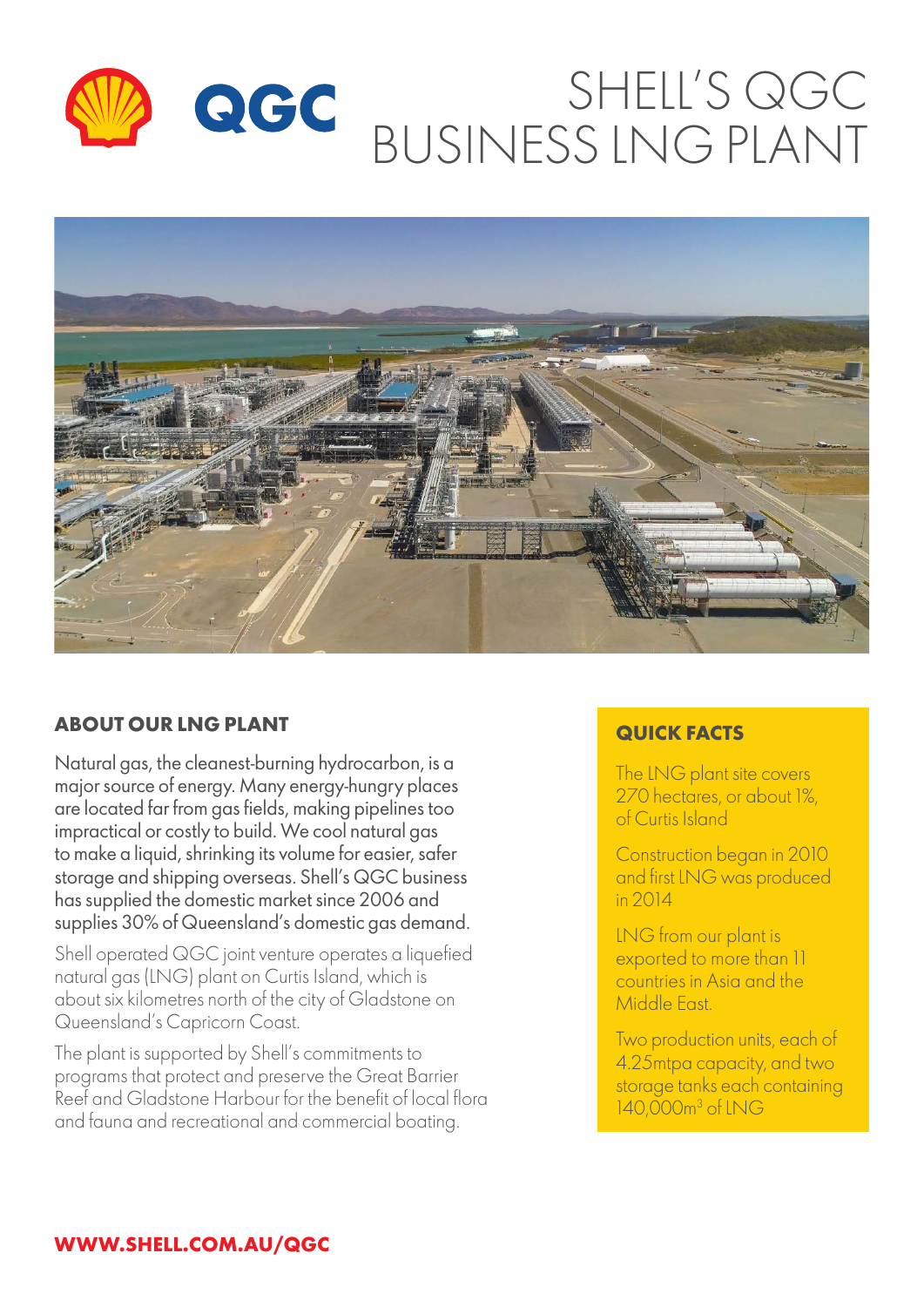



# **ABOUT OUR LNG PLANT CONSUMING THE REAL PROPERTY OF A REAL PROPERTY OF A REAL PROPERTY OF A REAL PROPERTY**

Natural gas, the cleanest-burning hydrocarbon, is a major source of energy. Many energy-hungry places are located far from gas fields, making pipelines too impractical or costly to build. We cool natural gas to make a liquid, shrinking its volume for easier, safer storage and shipping overseas. Shell's QGC business has supplied the domestic market since 2006 and supplies 30% of Queensland's domestic gas demand.

Shell operated QGC joint venture operates a liquefied natural gas (LNG) plant on Curtis Island, which is about six kilometres north of the city of Gladstone on Queensland's Capricorn Coast.

The plant is supported by Shell's commitments to programs that protect and preserve the Great Barrier Reef and Gladstone Harbour for the benefit of local flora and fauna and recreational and commercial boating.

The LNG plant site covers 270 hectares, or about 1%, of Curtis Island

Construction began in 2010 and first LNG was produced in 2014

LNG from our plant is exported to more than 11 countries in Asia and the Middle East.

Two production units, each of 4.25mtpa capacity, and two storage tanks each containing 140,000m3 of LNG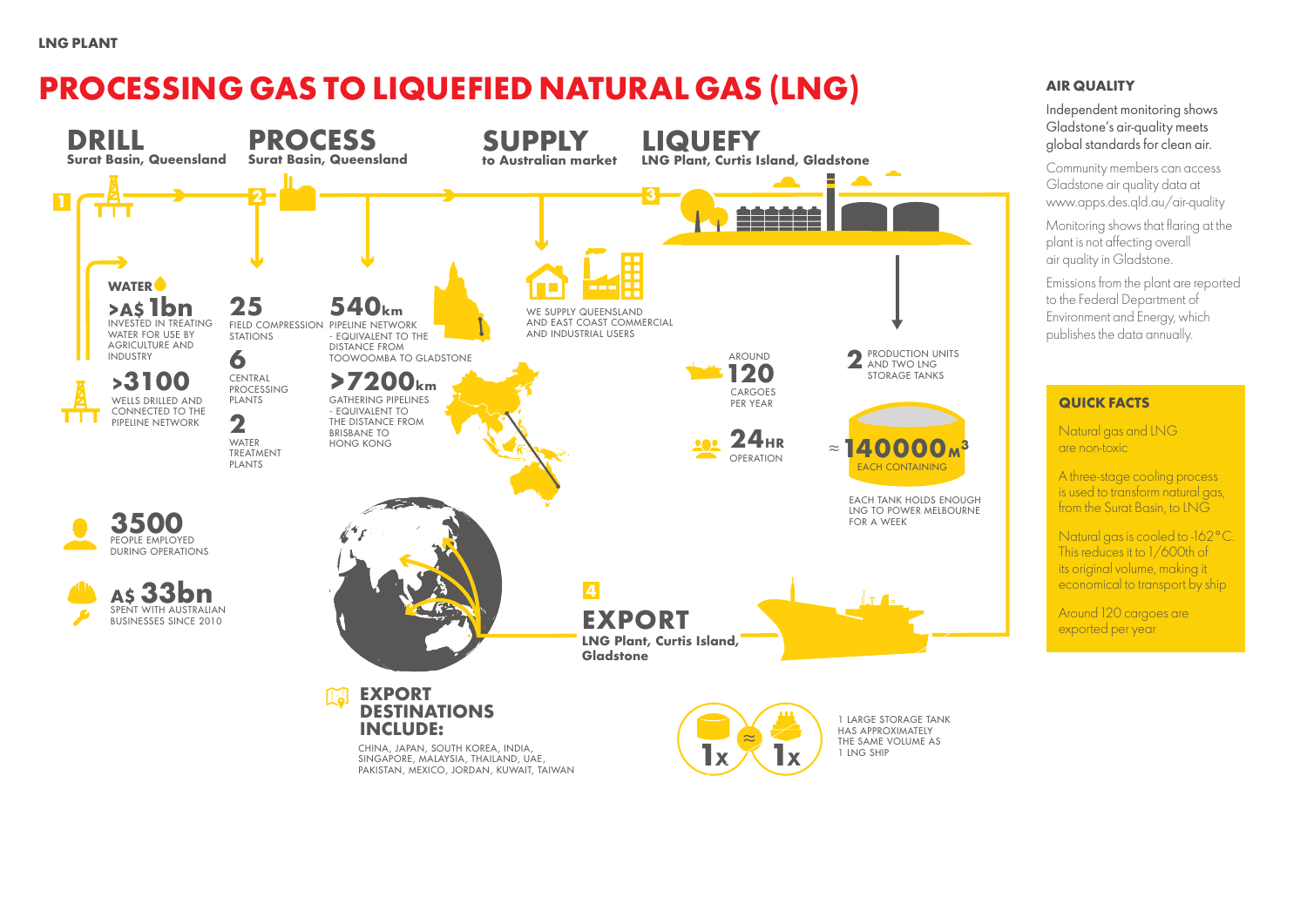

#### **LNG PLANT**

Independent monitoring shows Gladstone's air-quality meets global standards for clean air.

Community members can access Gladstone air quality data at www.apps.des.qld.au/air-quality

Monitoring shows that flaring at the plant is not affecting overall air quality in Gladstone.

Emissions from the plant are reported to the Federal Department of Environment and Energy, which publishes the data annually.

## **AIR QUALITY**

#### **QUICK FACTS**

Natural gas and LNG are non-toxic

A three-stage cooling process is used to transform natural gas, from the Surat Basin, to LNG

Natural gas is cooled to -162°C. This reduces it to 1/600th of its original volume, making it economical to transport by ship

Around 120 cargoes are exported per year

# **PROCESSING GAS TO LIQUEFIED NATURAL GAS (LNG)**